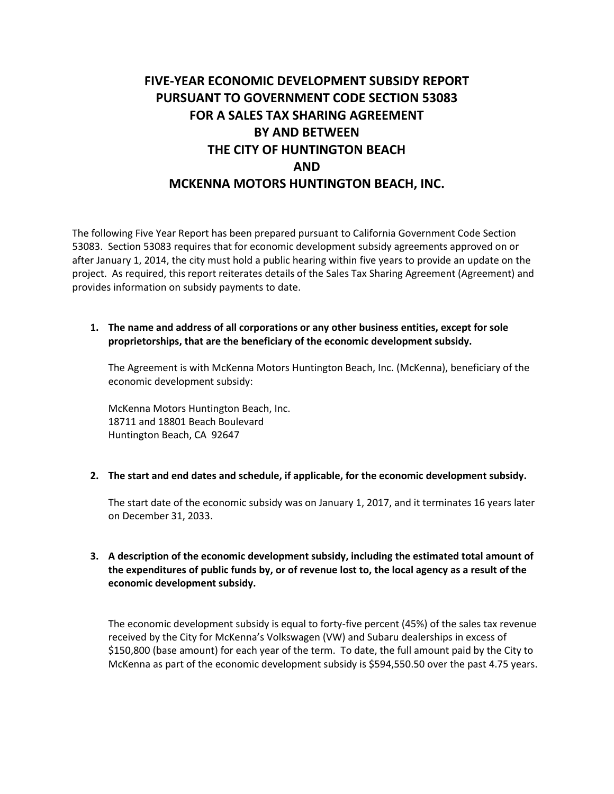# **FIVE-YEAR ECONOMIC DEVELOPMENT SUBSIDY REPORT PURSUANT TO GOVERNMENT CODE SECTION 53083 FOR A SALES TAX SHARING AGREEMENT BY AND BETWEEN THE CITY OF HUNTINGTON BEACH AND MCKENNA MOTORS HUNTINGTON BEACH, INC.**

The following Five Year Report has been prepared pursuant to California Government Code Section 53083. Section 53083 requires that for economic development subsidy agreements approved on or after January 1, 2014, the city must hold a public hearing within five years to provide an update on the project. As required, this report reiterates details of the Sales Tax Sharing Agreement (Agreement) and provides information on subsidy payments to date.

#### **1. The name and address of all corporations or any other business entities, except for sole proprietorships, that are the beneficiary of the economic development subsidy.**

The Agreement is with McKenna Motors Huntington Beach, Inc. (McKenna), beneficiary of the economic development subsidy:

McKenna Motors Huntington Beach, Inc. 18711 and 18801 Beach Boulevard Huntington Beach, CA 92647

#### **2. The start and end dates and schedule, if applicable, for the economic development subsidy.**

The start date of the economic subsidy was on January 1, 2017, and it terminates 16 years later on December 31, 2033.

### **3. A description of the economic development subsidy, including the estimated total amount of the expenditures of public funds by, or of revenue lost to, the local agency as a result of the economic development subsidy.**

The economic development subsidy is equal to forty-five percent (45%) of the sales tax revenue received by the City for McKenna's Volkswagen (VW) and Subaru dealerships in excess of \$150,800 (base amount) for each year of the term. To date, the full amount paid by the City to McKenna as part of the economic development subsidy is \$594,550.50 over the past 4.75 years.